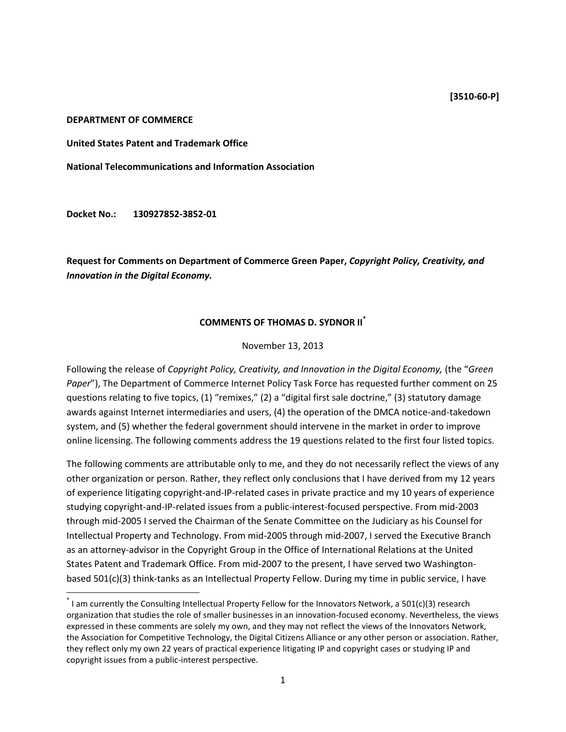## **DEPARTMENT OF COMMERCE**

**United States Patent and Trademark Office**

**National Telecommunications and Information Association**

**Docket No.: 130927852-3852-01**

 $\overline{a}$ 

**Request for Comments on Department of Commerce Green Paper,** *Copyright Policy, Creativity, and Innovation in the Digital Economy.*

## **COMMENTS OF THOMAS D. SYDNOR II\***

## November 13, 2013

Following the release of *Copyright Policy, Creativity, and Innovation in the Digital Economy,* (the "*Green Paper*"), The Department of Commerce Internet Policy Task Force has requested further comment on 25 questions relating to five topics, (1) "remixes," (2) a "digital first sale doctrine," (3) statutory damage awards against Internet intermediaries and users, (4) the operation of the DMCA notice-and-takedown system, and (5) whether the federal government should intervene in the market in order to improve online licensing. The following comments address the 19 questions related to the first four listed topics.

The following comments are attributable only to me, and they do not necessarily reflect the views of any other organization or person. Rather, they reflect only conclusions that I have derived from my 12 years of experience litigating copyright-and-IP-related cases in private practice and my 10 years of experience studying copyright-and-IP-related issues from a public-interest-focused perspective. From mid-2003 through mid-2005 I served the Chairman of the Senate Committee on the Judiciary as his Counsel for Intellectual Property and Technology. From mid-2005 through mid-2007, I served the Executive Branch as an attorney-advisor in the Copyright Group in the Office of International Relations at the United States Patent and Trademark Office. From mid-2007 to the present, I have served two Washingtonbased 501(c)(3) think-tanks as an Intellectual Property Fellow. During my time in public service, I have

<sup>\*</sup> I am currently the Consulting Intellectual Property Fellow for the Innovators Network, a 501(c)(3) research organization that studies the role of smaller businesses in an innovation-focused economy. Nevertheless, the views expressed in these comments are solely my own, and they may not reflect the views of the Innovators Network, the Association for Competitive Technology, the Digital Citizens Alliance or any other person or association. Rather, they reflect only my own 22 years of practical experience litigating IP and copyright cases or studying IP and copyright issues from a public-interest perspective.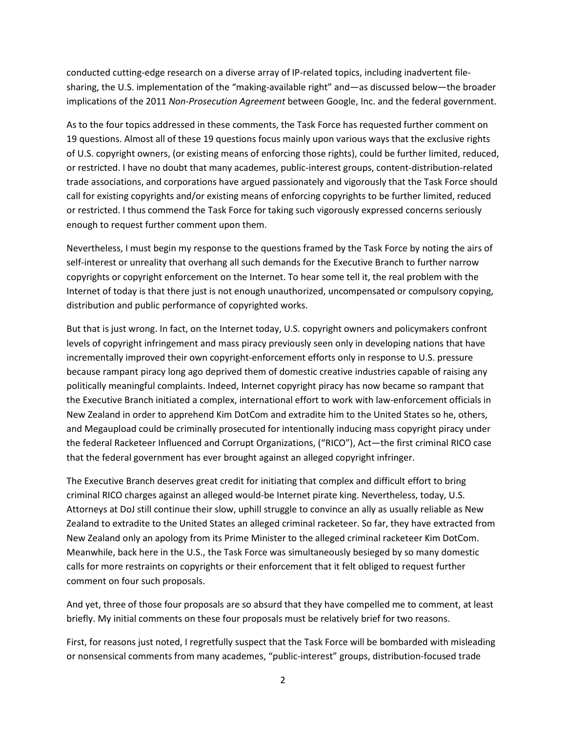conducted cutting-edge research on a diverse array of IP-related topics, including inadvertent filesharing, the U.S. implementation of the "making-available right" and—as discussed below—the broader implications of the 2011 *Non-Prosecution Agreement* between Google, Inc. and the federal government.

As to the four topics addressed in these comments, the Task Force has requested further comment on 19 questions. Almost all of these 19 questions focus mainly upon various ways that the exclusive rights of U.S. copyright owners, (or existing means of enforcing those rights), could be further limited, reduced, or restricted. I have no doubt that many academes, public-interest groups, content-distribution-related trade associations, and corporations have argued passionately and vigorously that the Task Force should call for existing copyrights and/or existing means of enforcing copyrights to be further limited, reduced or restricted. I thus commend the Task Force for taking such vigorously expressed concerns seriously enough to request further comment upon them.

Nevertheless, I must begin my response to the questions framed by the Task Force by noting the airs of self-interest or unreality that overhang all such demands for the Executive Branch to further narrow copyrights or copyright enforcement on the Internet. To hear some tell it, the real problem with the Internet of today is that there just is not enough unauthorized, uncompensated or compulsory copying, distribution and public performance of copyrighted works.

But that is just wrong. In fact, on the Internet today, U.S. copyright owners and policymakers confront levels of copyright infringement and mass piracy previously seen only in developing nations that have incrementally improved their own copyright-enforcement efforts only in response to U.S. pressure because rampant piracy long ago deprived them of domestic creative industries capable of raising any politically meaningful complaints. Indeed, Internet copyright piracy has now became so rampant that the Executive Branch initiated a complex, international effort to work with law-enforcement officials in New Zealand in order to apprehend Kim DotCom and extradite him to the United States so he, others, and Megaupload could be criminally prosecuted for intentionally inducing mass copyright piracy under the federal Racketeer Influenced and Corrupt Organizations, ("RICO"), Act—the first criminal RICO case that the federal government has ever brought against an alleged copyright infringer.

The Executive Branch deserves great credit for initiating that complex and difficult effort to bring criminal RICO charges against an alleged would-be Internet pirate king. Nevertheless, today, U.S. Attorneys at DoJ still continue their slow, uphill struggle to convince an ally as usually reliable as New Zealand to extradite to the United States an alleged criminal racketeer. So far, they have extracted from New Zealand only an apology from its Prime Minister to the alleged criminal racketeer Kim DotCom. Meanwhile, back here in the U.S., the Task Force was simultaneously besieged by so many domestic calls for more restraints on copyrights or their enforcement that it felt obliged to request further comment on four such proposals.

And yet, three of those four proposals are so absurd that they have compelled me to comment, at least briefly. My initial comments on these four proposals must be relatively brief for two reasons.

First, for reasons just noted, I regretfully suspect that the Task Force will be bombarded with misleading or nonsensical comments from many academes, "public-interest" groups, distribution-focused trade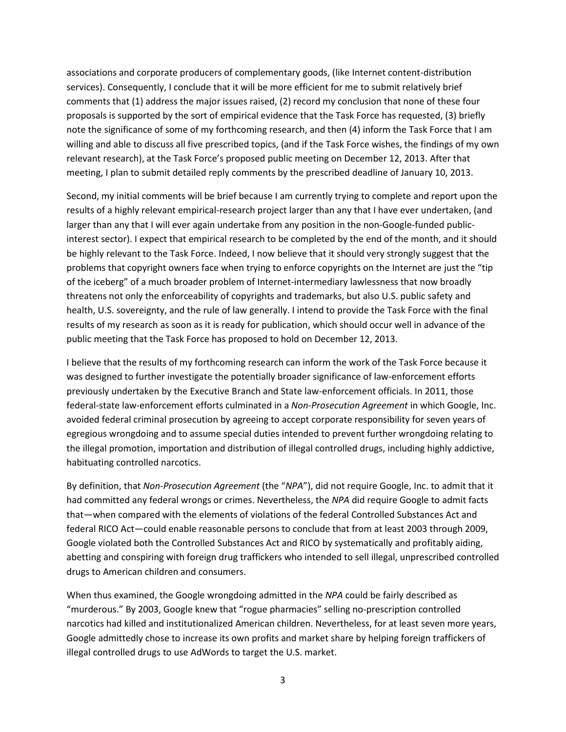associations and corporate producers of complementary goods, (like Internet content-distribution services). Consequently, I conclude that it will be more efficient for me to submit relatively brief comments that (1) address the major issues raised, (2) record my conclusion that none of these four proposals is supported by the sort of empirical evidence that the Task Force has requested, (3) briefly note the significance of some of my forthcoming research, and then (4) inform the Task Force that I am willing and able to discuss all five prescribed topics, (and if the Task Force wishes, the findings of my own relevant research), at the Task Force's proposed public meeting on December 12, 2013. After that meeting, I plan to submit detailed reply comments by the prescribed deadline of January 10, 2013.

Second, my initial comments will be brief because I am currently trying to complete and report upon the results of a highly relevant empirical-research project larger than any that I have ever undertaken, (and larger than any that I will ever again undertake from any position in the non-Google-funded publicinterest sector). I expect that empirical research to be completed by the end of the month, and it should be highly relevant to the Task Force. Indeed, I now believe that it should very strongly suggest that the problems that copyright owners face when trying to enforce copyrights on the Internet are just the "tip of the iceberg" of a much broader problem of Internet-intermediary lawlessness that now broadly threatens not only the enforceability of copyrights and trademarks, but also U.S. public safety and health, U.S. sovereignty, and the rule of law generally. I intend to provide the Task Force with the final results of my research as soon as it is ready for publication, which should occur well in advance of the public meeting that the Task Force has proposed to hold on December 12, 2013.

I believe that the results of my forthcoming research can inform the work of the Task Force because it was designed to further investigate the potentially broader significance of law-enforcement efforts previously undertaken by the Executive Branch and State law-enforcement officials. In 2011, those federal-state law-enforcement efforts culminated in a *Non-Prosecution Agreement* in which Google, Inc. avoided federal criminal prosecution by agreeing to accept corporate responsibility for seven years of egregious wrongdoing and to assume special duties intended to prevent further wrongdoing relating to the illegal promotion, importation and distribution of illegal controlled drugs, including highly addictive, habituating controlled narcotics.

By definition, that *Non-Prosecution Agreement* (the "*NPA*"), did not require Google, Inc. to admit that it had committed any federal wrongs or crimes. Nevertheless, the *NPA* did require Google to admit facts that—when compared with the elements of violations of the federal Controlled Substances Act and federal RICO Act—could enable reasonable persons to conclude that from at least 2003 through 2009, Google violated both the Controlled Substances Act and RICO by systematically and profitably aiding, abetting and conspiring with foreign drug traffickers who intended to sell illegal, unprescribed controlled drugs to American children and consumers.

When thus examined, the Google wrongdoing admitted in the *NPA* could be fairly described as "murderous." By 2003, Google knew that "rogue pharmacies" selling no-prescription controlled narcotics had killed and institutionalized American children. Nevertheless, for at least seven more years, Google admittedly chose to increase its own profits and market share by helping foreign traffickers of illegal controlled drugs to use AdWords to target the U.S. market.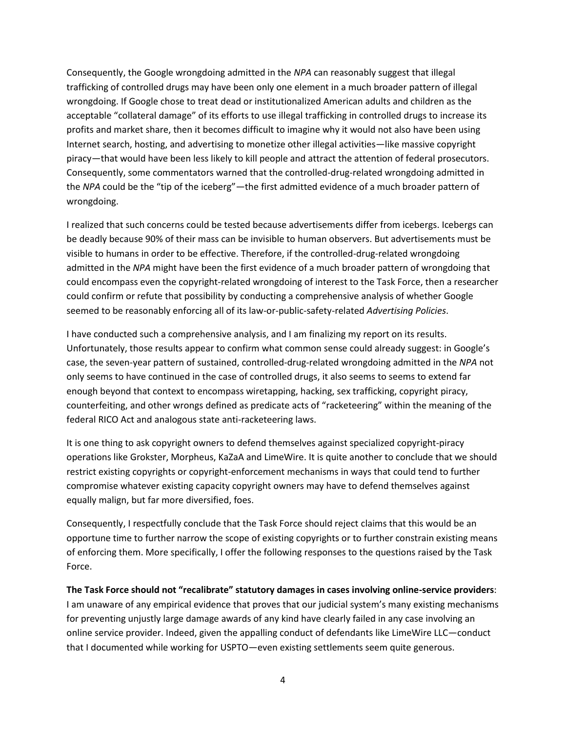Consequently, the Google wrongdoing admitted in the *NPA* can reasonably suggest that illegal trafficking of controlled drugs may have been only one element in a much broader pattern of illegal wrongdoing. If Google chose to treat dead or institutionalized American adults and children as the acceptable "collateral damage" of its efforts to use illegal trafficking in controlled drugs to increase its profits and market share, then it becomes difficult to imagine why it would not also have been using Internet search, hosting, and advertising to monetize other illegal activities—like massive copyright piracy—that would have been less likely to kill people and attract the attention of federal prosecutors. Consequently, some commentators warned that the controlled-drug-related wrongdoing admitted in the *NPA* could be the "tip of the iceberg"—the first admitted evidence of a much broader pattern of wrongdoing.

I realized that such concerns could be tested because advertisements differ from icebergs. Icebergs can be deadly because 90% of their mass can be invisible to human observers. But advertisements must be visible to humans in order to be effective. Therefore, if the controlled-drug-related wrongdoing admitted in the *NPA* might have been the first evidence of a much broader pattern of wrongdoing that could encompass even the copyright-related wrongdoing of interest to the Task Force, then a researcher could confirm or refute that possibility by conducting a comprehensive analysis of whether Google seemed to be reasonably enforcing all of its law-or-public-safety-related *Advertising Policies*.

I have conducted such a comprehensive analysis, and I am finalizing my report on its results. Unfortunately, those results appear to confirm what common sense could already suggest: in Google's case, the seven-year pattern of sustained, controlled-drug-related wrongdoing admitted in the *NPA* not only seems to have continued in the case of controlled drugs, it also seems to seems to extend far enough beyond that context to encompass wiretapping, hacking, sex trafficking, copyright piracy, counterfeiting, and other wrongs defined as predicate acts of "racketeering" within the meaning of the federal RICO Act and analogous state anti-racketeering laws.

It is one thing to ask copyright owners to defend themselves against specialized copyright-piracy operations like Grokster, Morpheus, KaZaA and LimeWire. It is quite another to conclude that we should restrict existing copyrights or copyright-enforcement mechanisms in ways that could tend to further compromise whatever existing capacity copyright owners may have to defend themselves against equally malign, but far more diversified, foes.

Consequently, I respectfully conclude that the Task Force should reject claims that this would be an opportune time to further narrow the scope of existing copyrights or to further constrain existing means of enforcing them. More specifically, I offer the following responses to the questions raised by the Task Force.

**The Task Force should not "recalibrate" statutory damages in cases involving online-service providers**:

I am unaware of any empirical evidence that proves that our judicial system's many existing mechanisms for preventing unjustly large damage awards of any kind have clearly failed in any case involving an online service provider. Indeed, given the appalling conduct of defendants like LimeWire LLC—conduct that I documented while working for USPTO—even existing settlements seem quite generous.